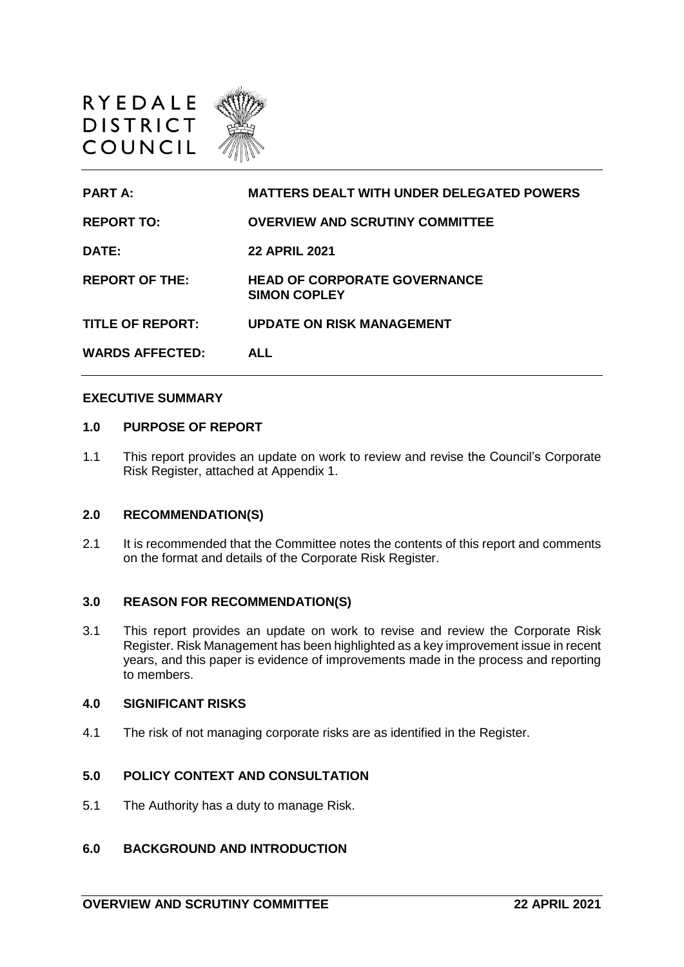



**PART A: MATTERS DEALT WITH UNDER DELEGATED POWERS REPORT TO: OVERVIEW AND SCRUTINY COMMITTEE DATE: 22 APRIL 2021 REPORT OF THE: HEAD OF CORPORATE GOVERNANCE SIMON COPLEY TITLE OF REPORT: UPDATE ON RISK MANAGEMENT WARDS AFFECTED: ALL** 

#### **EXECUTIVE SUMMARY**

#### **1.0 PURPOSE OF REPORT**

1.1 This report provides an update on work to review and revise the Council's Corporate Risk Register, attached at Appendix 1.

### **2.0 RECOMMENDATION(S)**

2.1 It is recommended that the Committee notes the contents of this report and comments on the format and details of the Corporate Risk Register.

#### **3.0 REASON FOR RECOMMENDATION(S)**

3.1 This report provides an update on work to revise and review the Corporate Risk Register. Risk Management has been highlighted as a key improvement issue in recent years, and this paper is evidence of improvements made in the process and reporting to members.

#### **4.0 SIGNIFICANT RISKS**

4.1 The risk of not managing corporate risks are as identified in the Register.

# **5.0 POLICY CONTEXT AND CONSULTATION**

5.1 The Authority has a duty to manage Risk.

## **6.0 BACKGROUND AND INTRODUCTION**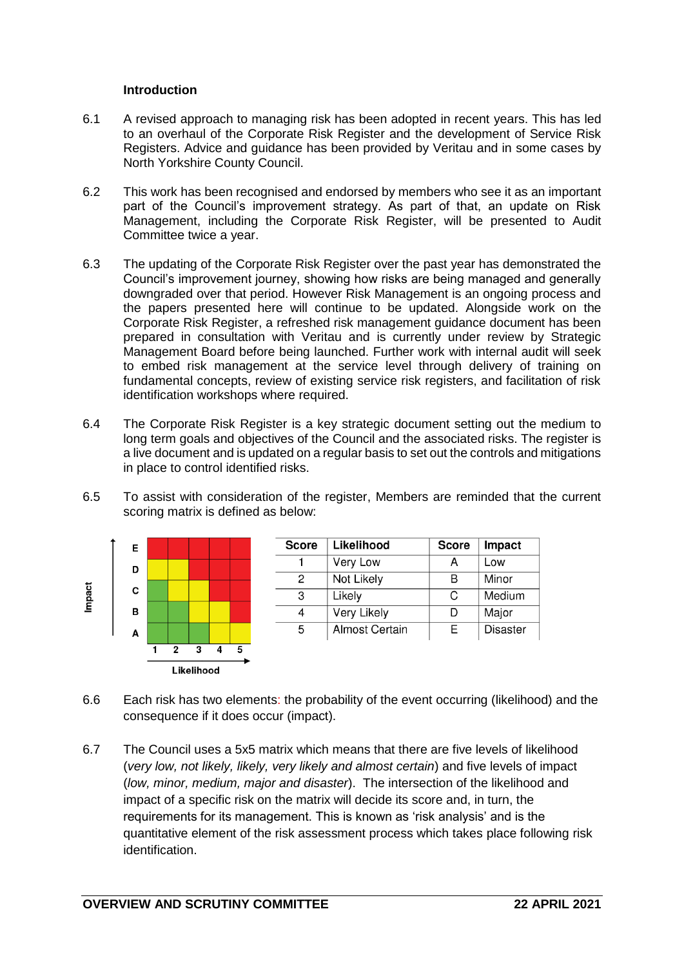### **Introduction**

- 6.1 A revised approach to managing risk has been adopted in recent years. This has led to an overhaul of the Corporate Risk Register and the development of Service Risk Registers. Advice and guidance has been provided by Veritau and in some cases by North Yorkshire County Council.
- 6.2 This work has been recognised and endorsed by members who see it as an important part of the Council's improvement strategy. As part of that, an update on Risk Management, including the Corporate Risk Register, will be presented to Audit Committee twice a year.
- 6.3 The updating of the Corporate Risk Register over the past year has demonstrated the Council's improvement journey, showing how risks are being managed and generally downgraded over that period. However Risk Management is an ongoing process and the papers presented here will continue to be updated. Alongside work on the Corporate Risk Register, a refreshed risk management guidance document has been prepared in consultation with Veritau and is currently under review by Strategic Management Board before being launched. Further work with internal audit will seek to embed risk management at the service level through delivery of training on fundamental concepts, review of existing service risk registers, and facilitation of risk identification workshops where required.
- 6.4 The Corporate Risk Register is a key strategic document setting out the medium to long term goals and objectives of the Council and the associated risks. The register is a live document and is updated on a regular basis to set out the controls and mitigations in place to control identified risks.
- 6.5 To assist with consideration of the register, Members are reminded that the current scoring matrix is defined as below:



- 6.6 Each risk has two elements: the probability of the event occurring (likelihood) and the consequence if it does occur (impact).
- 6.7 The Council uses a 5x5 matrix which means that there are five levels of likelihood (*very low, not likely, likely, very likely and almost certain*) and five levels of impact (*low, minor, medium, major and disaster*). The intersection of the likelihood and impact of a specific risk on the matrix will decide its score and, in turn, the requirements for its management. This is known as 'risk analysis' and is the quantitative element of the risk assessment process which takes place following risk identification.